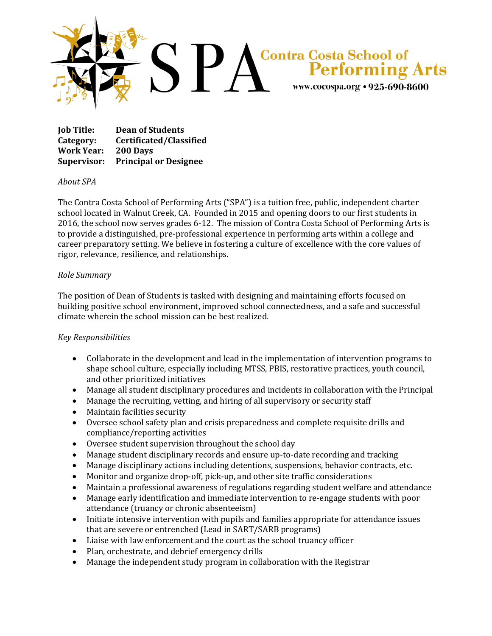

**Job Title: Dean of Students Category: Certificated/Classified Work Year: 200 Days Supervisor: Principal or Designee**

## *About SPA*

The Contra Costa School of Performing Arts ("SPA") is a tuition free, public, independent charter school located in Walnut Creek, CA. Founded in 2015 and opening doors to our first students in 2016, the school now serves grades 6-12. The mission of Contra Costa School of Performing Arts is to provide a distinguished, pre-professional experience in performing arts within a college and career preparatory setting. We believe in fostering a culture of excellence with the core values of rigor, relevance, resilience, and relationships.

## *Role Summary*

The position of Dean of Students is tasked with designing and maintaining efforts focused on building positive school environment, improved school connectedness, and a safe and successful climate wherein the school mission can be best realized.

## *Key Responsibilities*

- Collaborate in the development and lead in the implementation of intervention programs to shape school culture, especially including MTSS, PBIS, restorative practices, youth council, and other prioritized initiatives
- Manage all student disciplinary procedures and incidents in collaboration with the Principal
- Manage the recruiting, vetting, and hiring of all supervisory or security staff
- Maintain facilities security
- Oversee school safety plan and crisis preparedness and complete requisite drills and compliance/reporting activities
- Oversee student supervision throughout the school day
- Manage student disciplinary records and ensure up-to-date recording and tracking
- Manage disciplinary actions including detentions, suspensions, behavior contracts, etc.
- Monitor and organize drop-off, pick-up, and other site traffic considerations
- Maintain a professional awareness of regulations regarding student welfare and attendance
- Manage early identification and immediate intervention to re-engage students with poor attendance (truancy or chronic absenteeism)
- Initiate intensive intervention with pupils and families appropriate for attendance issues that are severe or entrenched (Lead in SART/SARB programs)
- Liaise with law enforcement and the court as the school truancy officer
- Plan, orchestrate, and debrief emergency drills
- Manage the independent study program in collaboration with the Registrar